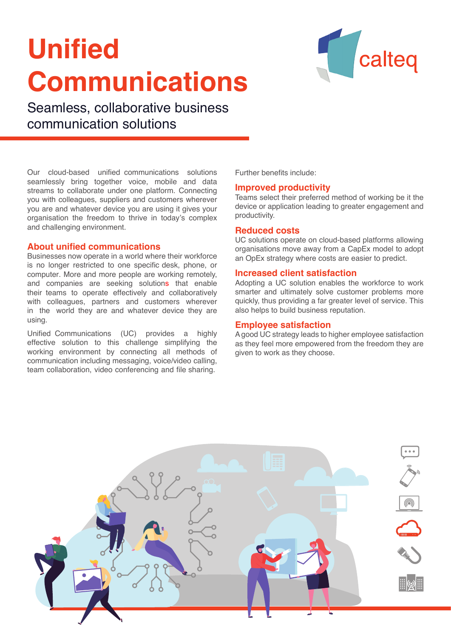# **Unified Communications**



Seamless, collaborative business communication solutions

Our cloud-based unified communications solutions seamlessly bring together voice, mobile and data streams to collaborate under one platform. Connecting you with colleagues, suppliers and customers wherever you are and whatever device you are using it gives your organisation the freedom to thrive in today's complex and challenging environment.

# **About unified communications**

Businesses now operate in a world where their workforce is no longer restricted to one specific desk, phone, or computer. More and more people are working remotely, and companies are seeking solutions that enable their teams to operate effectively and collaboratively with colleagues, partners and customers wherever in the world they are and whatever device they are using.

Unified Communications (UC) provides a highly effective solution to this challenge simplifying the working environment by connecting all methods of communication including messaging, voice/video calling, team collaboration, video conferencing and file sharing.

Further benefits include:

# **Improved productivity**

Teams select their preferred method of working be it the device or application leading to greater engagement and productivity.

## **Reduced costs**

UC solutions operate on cloud-based platforms allowing organisations move away from a CapEx model to adopt an OpEx strategy where costs are easier to predict.

# **Increased client satisfaction**

Adopting a UC solution enables the workforce to work smarter and ultimately solve customer problems more quickly, thus providing a far greater level of service. This also helps to build business reputation.

# **Employee satisfaction**

A good UC strategy leads to higher employee satisfaction as they feel more empowered from the freedom they are given to work as they choose.